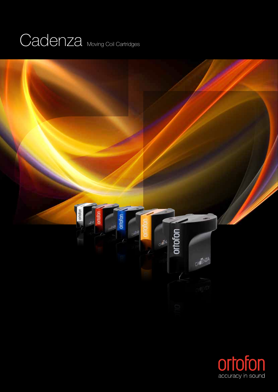## Cadenza Moving Coil Cartridges



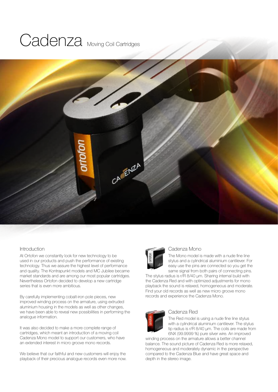## Cadenza Moving Coil Cartridges



#### **Introduction**

At Ortofon we constantly look for new technology to be used in our products and push the performance of existing technology. Thus we assure the highest level of performance and quality. The Kontrapunkt models and MC Jubilee became market standards and are among our most popular cartridges. Nevertheless Ortofon decided to develop a new cartridge series that is even more ambitious.

By carefully implementing cobalt-iron pole pieces, new improved winding process on the armature, using extruded aluminium housing in the models as well as other changes, we have been able to reveal new possibilities in performing the analogue information.

It was also decided to make a more complete range of cartridges, which meant an introduction of a moving coil Cadenza Mono model to support our customers, who have an extended interest in micro groove mono records.

We believe that our faithful and new customers will enjoy the playback of their precious analogue records even more now.



#### Cadenza Mono

The Mono model is made with a nude fine line stylus and a cylindrical aluminium cantilever. For easy use the pins are connected so you get the same signal from both pairs of connecting pins.

The stylus radius is r/R 8/40 µm. Sharing internal build with the Cadenza Red and with optimized adjustments for mono playback the sound is relaxed, homogeneous and moderate. Find your old records as well as new micro groove mono records and experience the Cadenza Mono.



### Cadenza Red

The Red model is using a nude fine line stylus with a cylindrical aluminium cantilever. The stylus tip radius is r/R 8/40 µm. The coils are made from 6NX (99.9999 %) pure silver wire. An improved

winding process on the armature allows a better channel balance. The sound picture of Cadenza Red is more relaxed, homogeneous and moderately dynamic in the perspective compared to the Cadenza Blue and have great space and depth in the stereo image.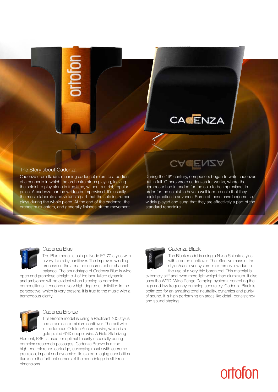## **CACENZA**

#### The Story about Cadenza

Cadenza (from Italian: meaning cadence) refers to a portion of a concerto in which the orchestra stops playing, leaving the soloist to play alone in free time, without a strict, regular pulse. A cadenza can be written or improvised. It's usually the most elaborate and virtuosic part that the solo instrument plays during the whole piece. At the end of the cadenza, the orchestra re-enters, and generally finishes off the movement.

During the 19<sup>th</sup> century, composers began to write cadenzas out in full. Others wrote cadenzas for works, where the composer had intended for the solo to be improvised, in order for the soloist to have a well formed solo that they could practice in advance. Some of these have become so widely played and sung that they are effectively a part of the standard repertoire.

**ENZA** 



#### Cadenza Blue

The Blue model is using a Nude FG 70 stylus with a very thin ruby cantilever. The improved winding process on the armature ensures better channel balance. The soundstage of Cadenza Blue is wide

open and grandiose straight out of the box. Micro dynamic and ambience will be evident when listening to complex compositions. It reaches a very high degree of definition in the perspective, which is very present. It is true to the music with a tremendous clarity.



#### Cadenza Bronze

The Bronze model is using a Replicant 100 stylus and a conical aluminium cantilever. The coil wire is the famous Ortofon Aucurum wire, which is a gold plated 6NX copper wire. A Field Stabilizing

Element, FSE, is used for optimal linearity especially during complex crescendo passages. Cadenza Bronze is a true high-end reference cartridge, conveying music with supreme precision, impact and dynamics. Its stereo imaging capabilities illuminate the farthest corners of the soundstage in all three dimensions.



#### Cadenza Black

The Black model is using a Nude Shibata stylus with a boron cantilever. The effective mass of the stylus/cantilever system is extremely low due to the use of a very thin boron rod. This material is

extremely stiff and even more lightweight than aluminium. It also uses the WRD (Wide Range Damping-system), controlling the high and low frequency damping separately. Cadenza Black is optimized for an amazing tonal neutrality, dynamics and purity of sound. It is high performing on areas like detail, consistency and sound staging.